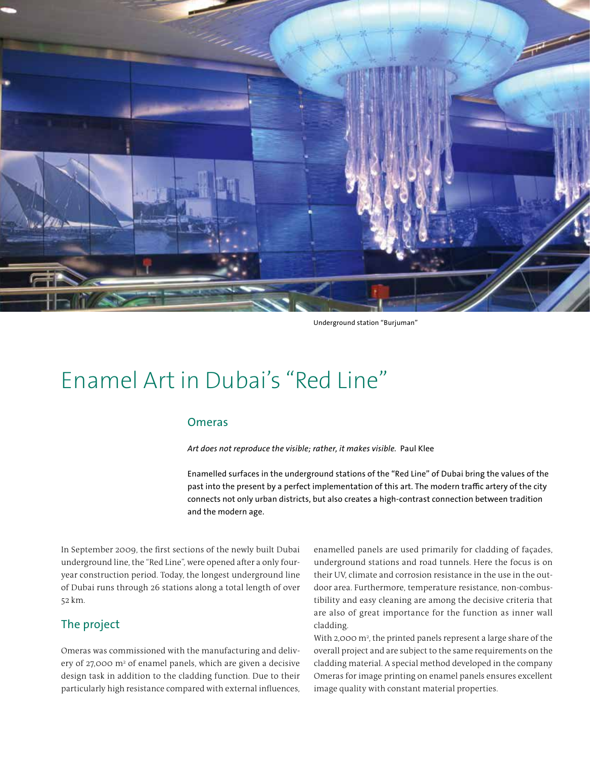

Underground station "Burjuman"

# Enamel Art in Dubai's "Red Line"

#### Omeras

*Art does not reproduce the visible; rather, it makes visible.* Paul Klee

Enamelled surfaces in the underground stations of the "Red Line" of Dubai bring the values of the past into the present by a perfect implementation of this art. The modern traffic artery of the city connects not only urban districts, but also creates a high-contrast connection between tradition and the modern age.

In September 2009, the first sections of the newly built Dubai underground line, the "Red Line", were opened after a only fouryear construction period. Today, the longest underground line of Dubai runs through 26 stations along a total length of over 52 km.

# The project

Omeras was commissioned with the manufacturing and delivery of 27,000 m<sup>2</sup> of enamel panels, which are given a decisive design task in addition to the cladding function. Due to their particularly high resistance compared with external influences, enamelled panels are used primarily for cladding of façades, underground stations and road tunnels. Here the focus is on their UV, climate and corrosion resistance in the use in the outdoor area. Furthermore, temperature resistance, non-combustibility and easy cleaning are among the decisive criteria that are also of great importance for the function as inner wall cladding.

With 2,000 m2 , the printed panels represent a large share of the overall project and are subject to the same requirements on the cladding material. A special method developed in the company Omeras for image printing on enamel panels ensures excellent image quality with constant material properties.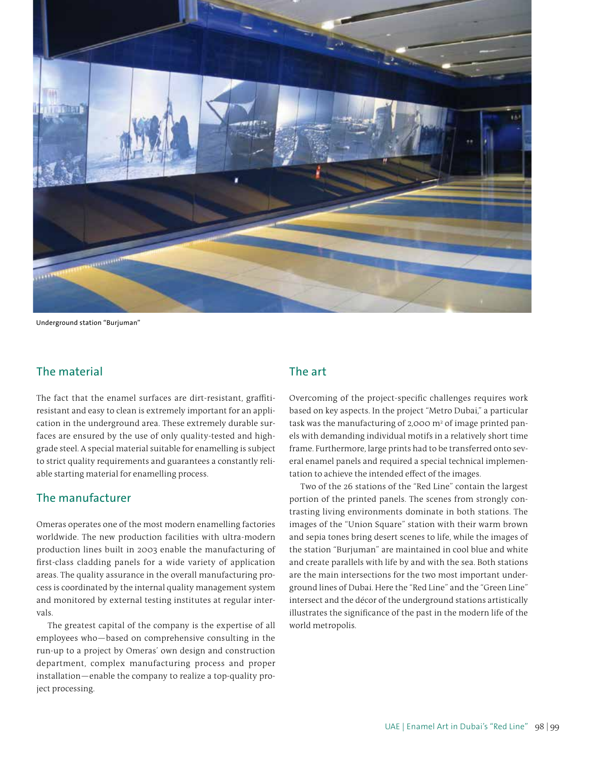

Underground station "Burjuman"

## The material

#### The art

The fact that the enamel surfaces are dirt-resistant, graffitiresistant and easy to clean is extremely important for an application in the underground area. These extremely durable surfaces are ensured by the use of only quality-tested and highgrade steel. A special material suitable for enamelling is subject to strict quality requirements and guarantees a constantly reliable starting material for enamelling process.

### The manufacturer

Omeras operates one of the most modern enamelling factories worldwide. The new production facilities with ultra-modern production lines built in 2003 enable the manufacturing of first-class cladding panels for a wide variety of application areas. The quality assurance in the overall manufacturing process is coordinated by the internal quality management system and monitored by external testing institutes at regular intervals.

The greatest capital of the company is the expertise of all employees who—based on comprehensive consulting in the run-up to a project by Omeras' own design and construction department, complex manufacturing process and proper installation—enable the company to realize a top-quality project processing.

Overcoming of the project-specific challenges requires work based on key aspects. In the project "Metro Dubai," a particular task was the manufacturing of 2,000  $\mathrm{m}^2$  of image printed panels with demanding individual motifs in a relatively short time frame. Furthermore, large prints had to be transferred onto several enamel panels and required a special technical implementation to achieve the intended effect of the images.

Two of the 26 stations of the "Red Line" contain the largest portion of the printed panels. The scenes from strongly contrasting living environments dominate in both stations. The images of the "Union Square" station with their warm brown and sepia tones bring desert scenes to life, while the images of the station "Burjuman" are maintained in cool blue and white and create parallels with life by and with the sea. Both stations are the main intersections for the two most important underground lines of Dubai. Here the "Red Line" and the "Green Line" intersect and the décor of the underground stations artistically illustrates the significance of the past in the modern life of the world metropolis.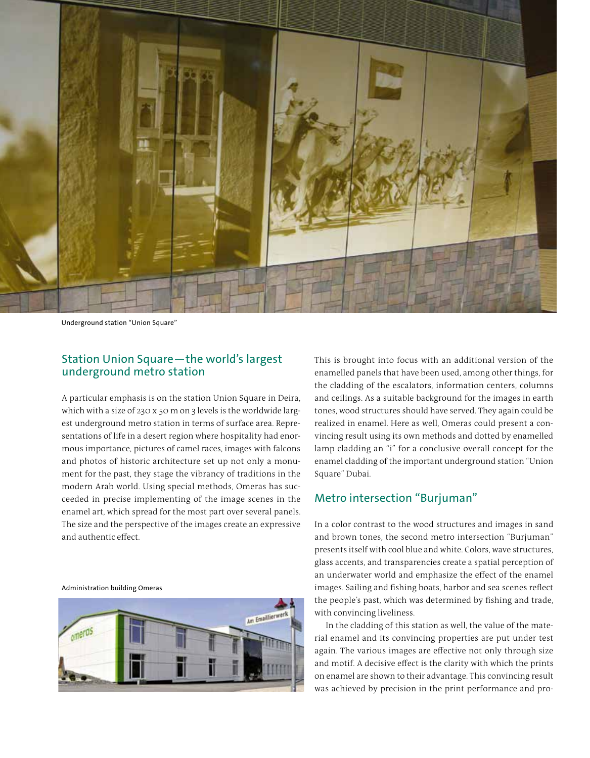

Underground station "Union Square"

#### Station Union Square—the world's largest underground metro station

A particular emphasis is on the station Union Square in Deira, which with a size of 230 x 50 m on 3 levels is the worldwide largest underground metro station in terms of surface area. Representations of life in a desert region where hospitality had enormous importance, pictures of camel races, images with falcons and photos of historic architecture set up not only a monument for the past, they stage the vibrancy of traditions in the modern Arab world. Using special methods, Omeras has succeeded in precise implementing of the image scenes in the enamel art, which spread for the most part over several panels. The size and the perspective of the images create an expressive and authentic effect.

#### Administration building Omeras



This is brought into focus with an additional version of the enamelled panels that have been used, among other things, for the cladding of the escalators, information centers, columns and ceilings. As a suitable background for the images in earth tones, wood structures should have served. They again could be realized in enamel. Here as well, Omeras could present a convincing result using its own methods and dotted by enamelled lamp cladding an "i" for a conclusive overall concept for the enamel cladding of the important underground station "Union Square" Dubai.

#### Metro intersection "Burjuman"

In a color contrast to the wood structures and images in sand and brown tones, the second metro intersection "Burjuman" presents itself with cool blue and white. Colors, wave structures, glass accents, and transparencies create a spatial perception of an underwater world and emphasize the effect of the enamel images. Sailing and fishing boats, harbor and sea scenes reflect the people's past, which was determined by fishing and trade, with convincing liveliness.

In the cladding of this station as well, the value of the material enamel and its convincing properties are put under test again. The various images are effective not only through size and motif. A decisive effect is the clarity with which the prints on enamel are shown to their advantage. This convincing result was achieved by precision in the print performance and pro